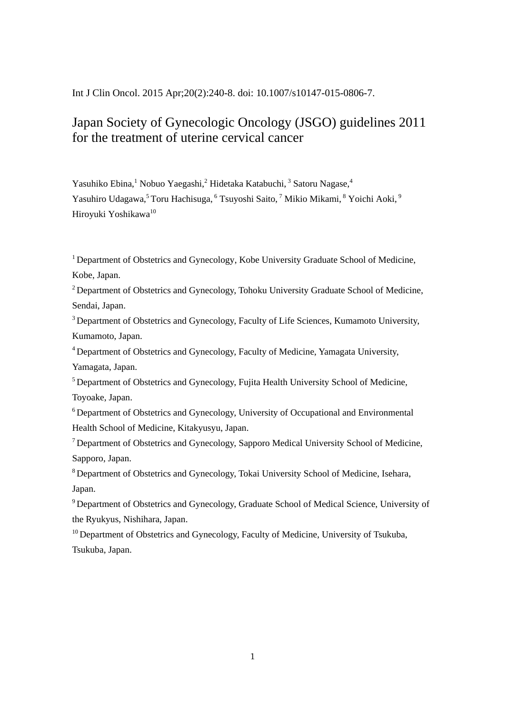Int J Clin Oncol. 2015 Apr;20(2):240-8. doi: 10.1007/s10147-015-0806-7.

# Japan Society of Gynecologic Oncology (JSGO) guidelines 2011 for the treatment of uterine cervical cancer

Yasuhiko Ebina,<sup>1</sup> Nobuo Yaegashi,<sup>2</sup> Hidetaka Katabuchi,<sup>3</sup> Satoru Nagase,<sup>4</sup> Yasuhiro Udagawa,<sup>5</sup> Toru Hachisuga, <sup>6</sup> Tsuyoshi Saito, <sup>7</sup> Mikio Mikami, <sup>8</sup> Yoichi Aoki, <sup>9</sup> Hiroyuki Yoshikawa<sup>10</sup>

<sup>1</sup> Department of Obstetrics and Gynecology, Kobe University Graduate School of Medicine, Kobe, Japan.

<sup>2</sup> Department of Obstetrics and Gynecology, Tohoku University Graduate School of Medicine, Sendai, Japan.

<sup>3</sup> Department of Obstetrics and Gynecology, Faculty of Life Sciences, Kumamoto University, Kumamoto, Japan.

<sup>4</sup>Department of Obstetrics and Gynecology, Faculty of Medicine, Yamagata University, Yamagata, Japan.

<sup>5</sup> Department of Obstetrics and Gynecology, Fujita Health University School of Medicine, Toyoake, Japan.

 $6$  Department of Obstetrics and Gynecology, University of Occupational and Environmental Health School of Medicine, Kitakyusyu, Japan.

 $<sup>7</sup>$  Department of Obstetrics and Gynecology, Sapporo Medical University School of Medicine,</sup> Sapporo, Japan.

<sup>8</sup> Department of Obstetrics and Gynecology, Tokai University School of Medicine, Isehara, Japan.

<sup>9</sup> Department of Obstetrics and Gynecology, Graduate School of Medical Science, University of the Ryukyus, Nishihara, Japan.

 $10$  Department of Obstetrics and Gynecology, Faculty of Medicine, University of Tsukuba, Tsukuba, Japan.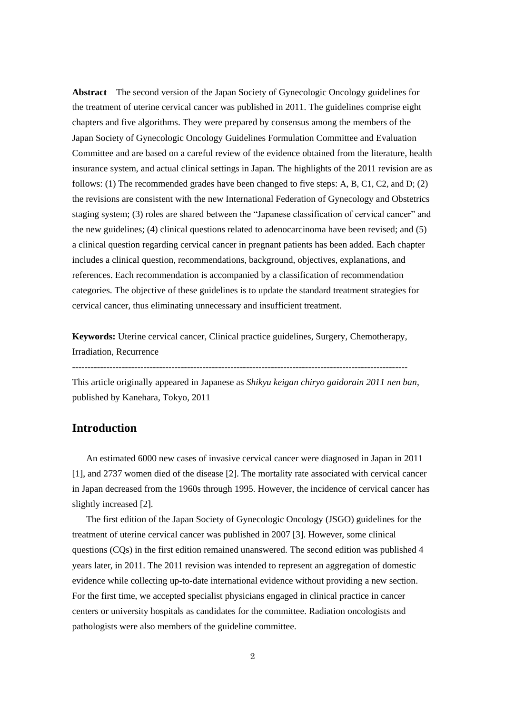**Abstract** The second version of the Japan Society of Gynecologic Oncology guidelines for the treatment of uterine cervical cancer was published in 2011. The guidelines comprise eight chapters and five algorithms. They were prepared by consensus among the members of the Japan Society of Gynecologic Oncology Guidelines Formulation Committee and Evaluation Committee and are based on a careful review of the evidence obtained from the literature, health insurance system, and actual clinical settings in Japan. The highlights of the 2011 revision are as follows: (1) The recommended grades have been changed to five steps: A, B, C1, C2, and D; (2) the revisions are consistent with the new International Federation of Gynecology and Obstetrics staging system; (3) roles are shared between the "Japanese classification of cervical cancer" and the new guidelines; (4) clinical questions related to adenocarcinoma have been revised; and (5) a clinical question regarding cervical cancer in pregnant patients has been added. Each chapter includes a clinical question, recommendations, background, objectives, explanations, and references. Each recommendation is accompanied by a classification of recommendation categories. The objective of these guidelines is to update the standard treatment strategies for cervical cancer, thus eliminating unnecessary and insufficient treatment.

**Keywords:** Uterine cervical cancer, Clinical practice guidelines, Surgery, Chemotherapy, Irradiation, Recurrence

------------------------------------------------------------------------------------------------------------

This article originally appeared in Japanese as *Shikyu keigan chiryo gaidorain 2011 nen ban*, published by Kanehara, Tokyo, 2011

### **Introduction**

An estimated 6000 new cases of invasive cervical cancer were diagnosed in Japan in 2011 [1], and 2737 women died of the disease [2]. The mortality rate associated with cervical cancer in Japan decreased from the 1960s through 1995. However, the incidence of cervical cancer has slightly increased [2].

The first edition of the Japan Society of Gynecologic Oncology (JSGO) guidelines for the treatment of uterine cervical cancer was published in 2007 [3]. However, some clinical questions (CQs) in the first edition remained unanswered. The second edition was published 4 years later, in 2011. The 2011 revision was intended to represent an aggregation of domestic evidence while collecting up-to-date international evidence without providing a new section. For the first time, we accepted specialist physicians engaged in clinical practice in cancer centers or university hospitals as candidates for the committee. Radiation oncologists and pathologists were also members of the guideline committee.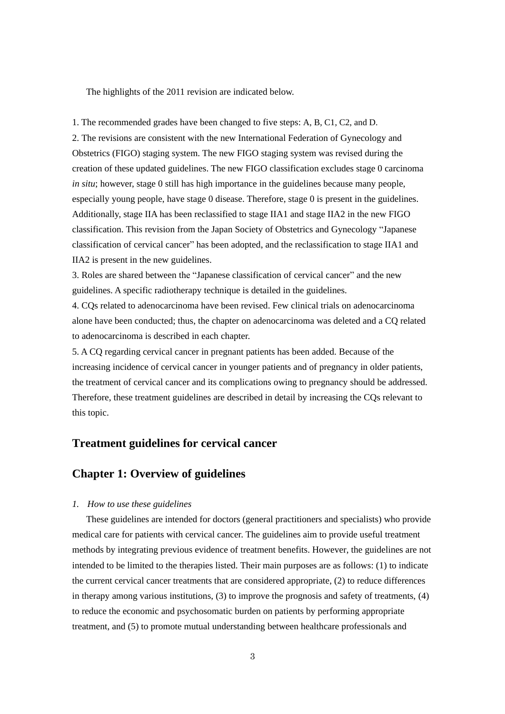The highlights of the 2011 revision are indicated below.

1. The recommended grades have been changed to five steps: A, B, C1, C2, and D.

2. The revisions are consistent with the new International Federation of Gynecology and Obstetrics (FIGO) staging system. The new FIGO staging system was revised during the creation of these updated guidelines. The new FIGO classification excludes stage 0 carcinoma *in situ*; however, stage 0 still has high importance in the guidelines because many people, especially young people, have stage 0 disease. Therefore, stage 0 is present in the guidelines. Additionally, stage IIA has been reclassified to stage IIA1 and stage IIA2 in the new FIGO classification. This revision from the Japan Society of Obstetrics and Gynecology "Japanese classification of cervical cancer" has been adopted, and the reclassification to stage IIA1 and IIA2 is present in the new guidelines.

3. Roles are shared between the "Japanese classification of cervical cancer" and the new guidelines. A specific radiotherapy technique is detailed in the guidelines.

4. CQs related to adenocarcinoma have been revised. Few clinical trials on adenocarcinoma alone have been conducted; thus, the chapter on adenocarcinoma was deleted and a CQ related to adenocarcinoma is described in each chapter.

5. A CQ regarding cervical cancer in pregnant patients has been added. Because of the increasing incidence of cervical cancer in younger patients and of pregnancy in older patients, the treatment of cervical cancer and its complications owing to pregnancy should be addressed. Therefore, these treatment guidelines are described in detail by increasing the CQs relevant to this topic.

# **Treatment guidelines for cervical cancer**

### **Chapter 1: Overview of guidelines**

#### *1. How to use these guidelines*

These guidelines are intended for doctors (general practitioners and specialists) who provide medical care for patients with cervical cancer. The guidelines aim to provide useful treatment methods by integrating previous evidence of treatment benefits. However, the guidelines are not intended to be limited to the therapies listed. Their main purposes are as follows: (1) to indicate the current cervical cancer treatments that are considered appropriate, (2) to reduce differences in therapy among various institutions, (3) to improve the prognosis and safety of treatments, (4) to reduce the economic and psychosomatic burden on patients by performing appropriate treatment, and (5) to promote mutual understanding between healthcare professionals and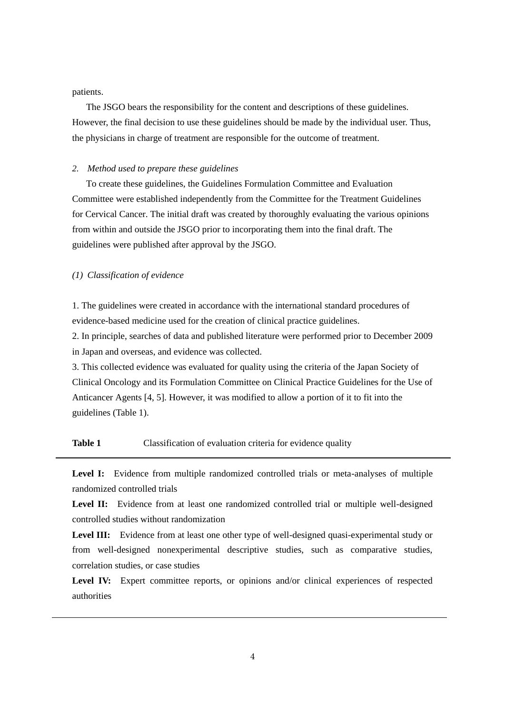patients.

The JSGO bears the responsibility for the content and descriptions of these guidelines. However, the final decision to use these guidelines should be made by the individual user. Thus, the physicians in charge of treatment are responsible for the outcome of treatment.

#### *2. Method used to prepare these guidelines*

To create these guidelines, the Guidelines Formulation Committee and Evaluation Committee were established independently from the Committee for the Treatment Guidelines for Cervical Cancer. The initial draft was created by thoroughly evaluating the various opinions from within and outside the JSGO prior to incorporating them into the final draft. The guidelines were published after approval by the JSGO.

#### *(1) Classification of evidence*

1. The guidelines were created in accordance with the international standard procedures of evidence-based medicine used for the creation of clinical practice guidelines.

2. In principle, searches of data and published literature were performed prior to December 2009 in Japan and overseas, and evidence was collected.

3. This collected evidence was evaluated for quality using the criteria of the Japan Society of Clinical Oncology and its Formulation Committee on Clinical Practice Guidelines for the Use of Anticancer Agents [4, 5]. However, it was modified to allow a portion of it to fit into the guidelines (Table 1).

### **Table 1** Classification of evaluation criteria for evidence quality

Level I: Evidence from multiple randomized controlled trials or meta-analyses of multiple randomized controlled trials

**Level II:** Evidence from at least one randomized controlled trial or multiple well-designed controlled studies without randomization

**Level III:** Evidence from at least one other type of well-designed quasi-experimental study or from well-designed nonexperimental descriptive studies, such as comparative studies, correlation studies, or case studies

Level IV: Expert committee reports, or opinions and/or clinical experiences of respected authorities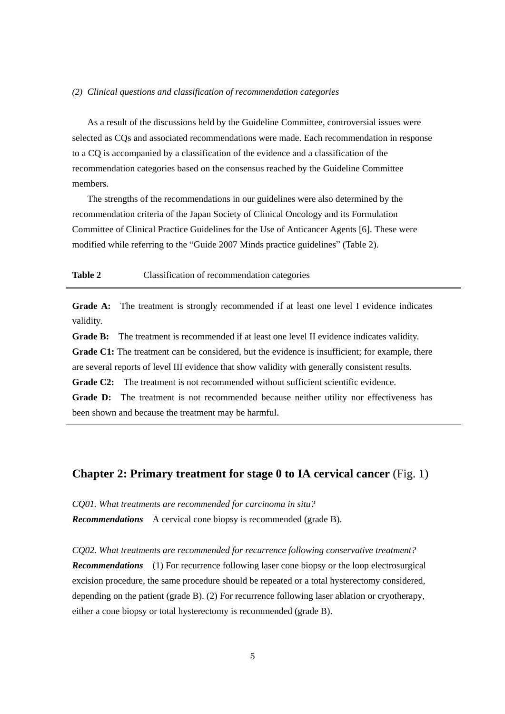#### *(2) Clinical questions and classification of recommendation categories*

As a result of the discussions held by the Guideline Committee, controversial issues were selected as CQs and associated recommendations were made. Each recommendation in response to a CQ is accompanied by a classification of the evidence and a classification of the recommendation categories based on the consensus reached by the Guideline Committee members.

The strengths of the recommendations in our guidelines were also determined by the recommendation criteria of the Japan Society of Clinical Oncology and its Formulation Committee of Clinical Practice Guidelines for the Use of Anticancer Agents [6]. These were modified while referring to the "Guide 2007 Minds practice guidelines" (Table 2).

#### **Table 2** Classification of recommendation categories

Grade A: The treatment is strongly recommended if at least one level I evidence indicates validity.

**Grade B:** The treatment is recommended if at least one level II evidence indicates validity.

Grade C1: The treatment can be considered, but the evidence is insufficient; for example, there are several reports of level III evidence that show validity with generally consistent results.

**Grade C2:** The treatment is not recommended without sufficient scientific evidence.

**Grade D:** The treatment is not recommended because neither utility nor effectiveness has been shown and because the treatment may be harmful.

### **Chapter 2: Primary treatment for stage 0 to IA cervical cancer** (Fig. 1)

*CQ01. What treatments are recommended for carcinoma in situ? Recommendations* A cervical cone biopsy is recommended (grade B).

*CQ02. What treatments are recommended for recurrence following conservative treatment? Recommendations* (1) For recurrence following laser cone biopsy or the loop electrosurgical excision procedure, the same procedure should be repeated or a total hysterectomy considered, depending on the patient (grade B). (2) For recurrence following laser ablation or cryotherapy, either a cone biopsy or total hysterectomy is recommended (grade B).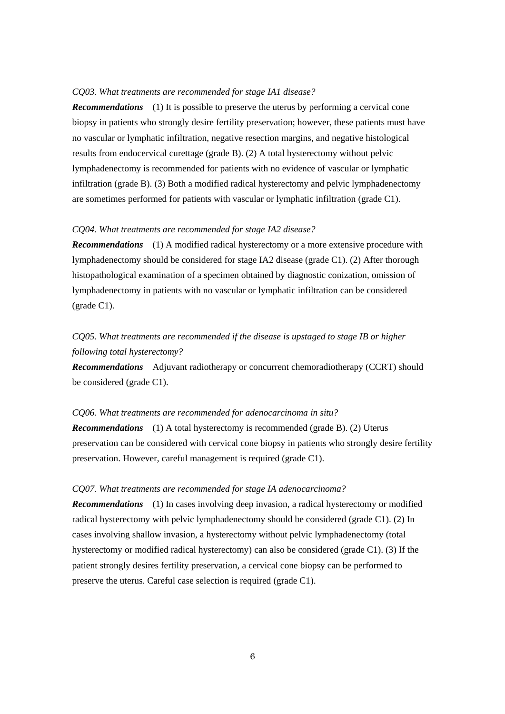#### *CQ03. What treatments are recommended for stage IA1 disease?*

*Recommendations* (1) It is possible to preserve the uterus by performing a cervical cone biopsy in patients who strongly desire fertility preservation; however, these patients must have no vascular or lymphatic infiltration, negative resection margins, and negative histological results from endocervical curettage (grade B). (2) A total hysterectomy without pelvic lymphadenectomy is recommended for patients with no evidence of vascular or lymphatic infiltration (grade B). (3) Both a modified radical hysterectomy and pelvic lymphadenectomy are sometimes performed for patients with vascular or lymphatic infiltration (grade C1).

### *CQ04. What treatments are recommended for stage IA2 disease?*

*Recommendations* (1) A modified radical hysterectomy or a more extensive procedure with lymphadenectomy should be considered for stage IA2 disease (grade C1). (2) After thorough histopathological examination of a specimen obtained by diagnostic conization, omission of lymphadenectomy in patients with no vascular or lymphatic infiltration can be considered (grade C1).

# *CQ05. What treatments are recommended if the disease is upstaged to stage IB or higher following total hysterectomy?*

*Recommendations* Adjuvant radiotherapy or concurrent chemoradiotherapy (CCRT) should be considered (grade C1).

#### *CQ06. What treatments are recommended for adenocarcinoma in situ?*

*Recommendations* (1) A total hysterectomy is recommended (grade B). (2) Uterus preservation can be considered with cervical cone biopsy in patients who strongly desire fertility preservation. However, careful management is required (grade C1).

### *CQ07. What treatments are recommended for stage IA adenocarcinoma?*

*Recommendations* (1) In cases involving deep invasion, a radical hysterectomy or modified radical hysterectomy with pelvic lymphadenectomy should be considered (grade C1). (2) In cases involving shallow invasion, a hysterectomy without pelvic lymphadenectomy (total hysterectomy or modified radical hysterectomy) can also be considered (grade C1). (3) If the patient strongly desires fertility preservation, a cervical cone biopsy can be performed to preserve the uterus. Careful case selection is required (grade C1).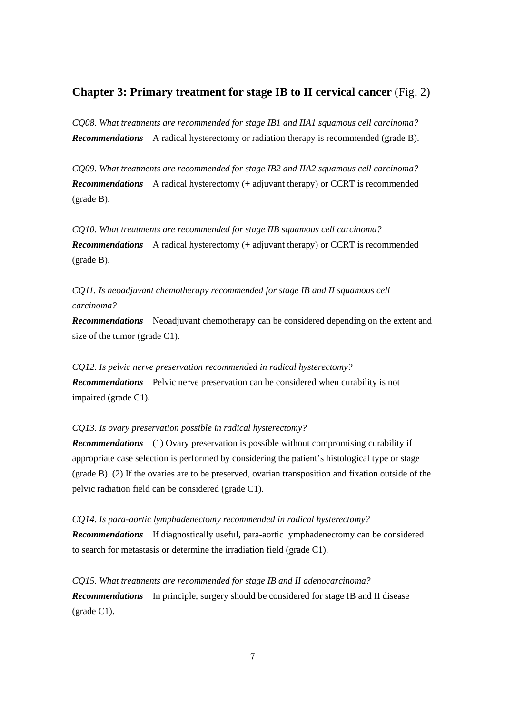### **Chapter 3: Primary treatment for stage IB to II cervical cancer** (Fig. 2)

*CQ08. What treatments are recommended for stage IB1 and IIA1 squamous cell carcinoma? Recommendations* A radical hysterectomy or radiation therapy is recommended (grade B).

*CQ09. What treatments are recommended for stage IB2 and IIA2 squamous cell carcinoma? Recommendations* A radical hysterectomy (+ adjuvant therapy) or CCRT is recommended (grade B).

*CQ10. What treatments are recommended for stage IIB squamous cell carcinoma? Recommendations* A radical hysterectomy (+ adjuvant therapy) or CCRT is recommended (grade B).

*CQ11. Is neoadjuvant chemotherapy recommended for stage IB and II squamous cell carcinoma?*

*Recommendations* Neoadjuvant chemotherapy can be considered depending on the extent and size of the tumor (grade C1).

*CQ12. Is pelvic nerve preservation recommended in radical hysterectomy? Recommendations* Pelvic nerve preservation can be considered when curability is not impaired (grade C1).

*CQ13. Is ovary preservation possible in radical hysterectomy?*

*Recommendations* (1) Ovary preservation is possible without compromising curability if appropriate case selection is performed by considering the patient's histological type or stage (grade B). (2) If the ovaries are to be preserved, ovarian transposition and fixation outside of the pelvic radiation field can be considered (grade C1).

*CQ14. Is para-aortic lymphadenectomy recommended in radical hysterectomy? Recommendations* If diagnostically useful, para-aortic lymphadenectomy can be considered to search for metastasis or determine the irradiation field (grade C1).

*CQ15. What treatments are recommended for stage IB and II adenocarcinoma? Recommendations* In principle, surgery should be considered for stage IB and II disease (grade C1).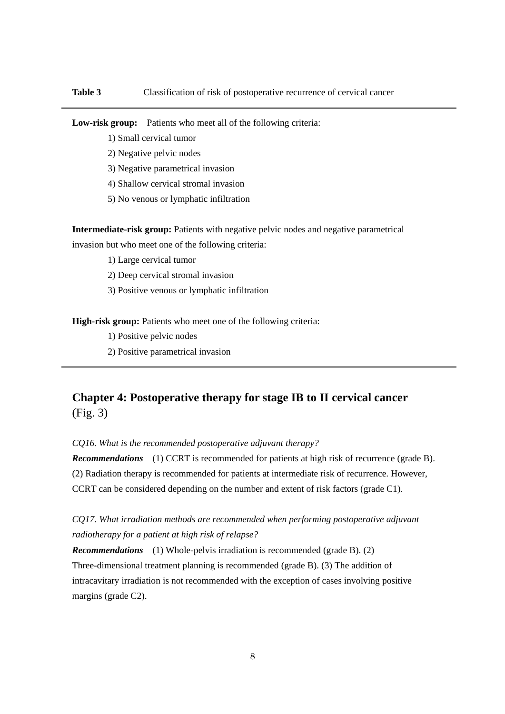Low-risk group: Patients who meet all of the following criteria:

- 1) Small cervical tumor
- 2) Negative pelvic nodes
- 3) Negative parametrical invasion
- 4) Shallow cervical stromal invasion
- 5) No venous or lymphatic infiltration

**Intermediate-risk group:** Patients with negative pelvic nodes and negative parametrical invasion but who meet one of the following criteria:

- 1) Large cervical tumor
- 2) Deep cervical stromal invasion
- 3) Positive venous or lymphatic infiltration

**High-risk group:** Patients who meet one of the following criteria:

- 1) Positive pelvic nodes
- 2) Positive parametrical invasion

# **Chapter 4: Postoperative therapy for stage IB to II cervical cancer** (Fig. 3)

*CQ16. What is the recommended postoperative adjuvant therapy?*

*Recommendations* (1) CCRT is recommended for patients at high risk of recurrence (grade B). (2) Radiation therapy is recommended for patients at intermediate risk of recurrence. However, CCRT can be considered depending on the number and extent of risk factors (grade C1).

*CQ17. What irradiation methods are recommended when performing postoperative adjuvant radiotherapy for a patient at high risk of relapse?*

*Recommendations* (1) Whole-pelvis irradiation is recommended (grade B). (2) Three-dimensional treatment planning is recommended (grade B). (3) The addition of intracavitary irradiation is not recommended with the exception of cases involving positive margins (grade C2).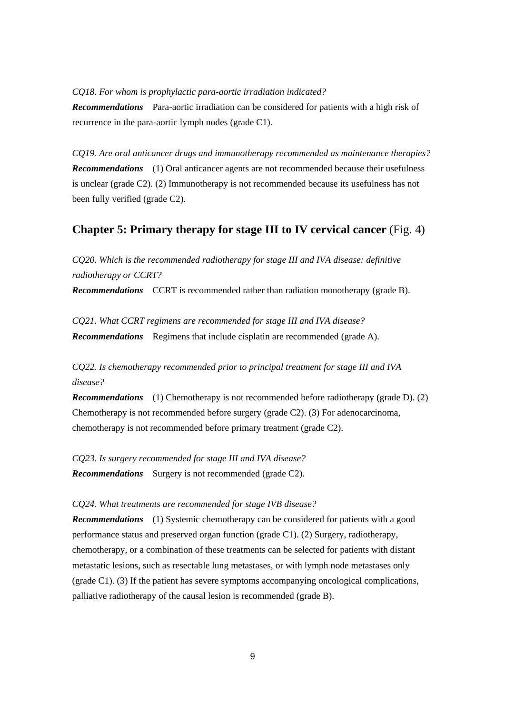#### *CQ18. For whom is prophylactic para-aortic irradiation indicated?*

*Recommendations* Para-aortic irradiation can be considered for patients with a high risk of recurrence in the para-aortic lymph nodes (grade C1).

*CQ19. Are oral anticancer drugs and immunotherapy recommended as maintenance therapies? Recommendations* (1) Oral anticancer agents are not recommended because their usefulness is unclear (grade C2). (2) Immunotherapy is not recommended because its usefulness has not been fully verified (grade C2).

# **Chapter 5: Primary therapy for stage III to IV cervical cancer** (Fig. 4)

*CQ20. Which is the recommended radiotherapy for stage III and IVA disease: definitive radiotherapy or CCRT?*

*Recommendations* CCRT is recommended rather than radiation monotherapy (grade B).

*CQ21. What CCRT regimens are recommended for stage III and IVA disease? Recommendations* Regimens that include cisplatin are recommended (grade A).

*CQ22. Is chemotherapy recommended prior to principal treatment for stage III and IVA disease?*

*Recommendations* (1) Chemotherapy is not recommended before radiotherapy (grade D). (2) Chemotherapy is not recommended before surgery (grade C2). (3) For adenocarcinoma, chemotherapy is not recommended before primary treatment (grade C2).

*CQ23. Is surgery recommended for stage III and IVA disease? Recommendations* Surgery is not recommended (grade C2).

#### *CQ24. What treatments are recommended for stage IVB disease?*

*Recommendations* (1) Systemic chemotherapy can be considered for patients with a good performance status and preserved organ function (grade C1). (2) Surgery, radiotherapy, chemotherapy, or a combination of these treatments can be selected for patients with distant metastatic lesions, such as resectable lung metastases, or with lymph node metastases only (grade C1). (3) If the patient has severe symptoms accompanying oncological complications, palliative radiotherapy of the causal lesion is recommended (grade B).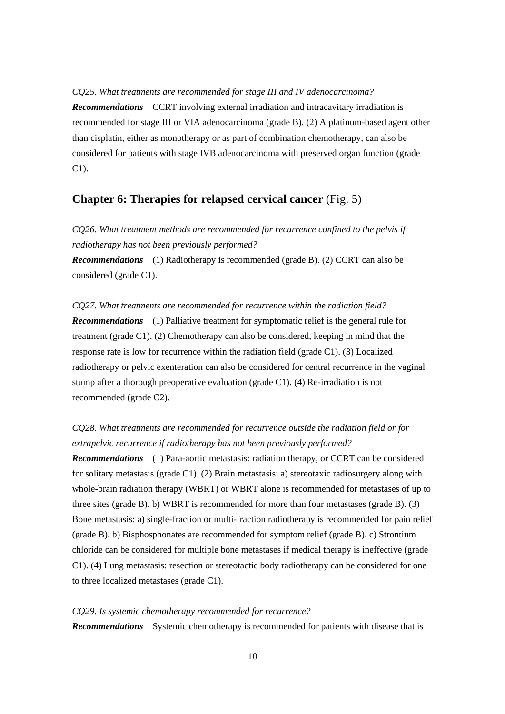#### *CQ25. What treatments are recommended for stage III and IV adenocarcinoma?*

*Recommendations* CCRT involving external irradiation and intracavitary irradiation is recommended for stage III or VIA adenocarcinoma (grade B). (2) A platinum-based agent other than cisplatin, either as monotherapy or as part of combination chemotherapy, can also be considered for patients with stage IVB adenocarcinoma with preserved organ function (grade C1).

### **Chapter 6: Therapies for relapsed cervical cancer** (Fig. 5)

*CQ26. What treatment methods are recommended for recurrence confined to the pelvis if radiotherapy has not been previously performed?*

*Recommendations* (1) Radiotherapy is recommended (grade B). (2) CCRT can also be considered (grade C1).

### *CQ27. What treatments are recommended for recurrence within the radiation field?*

*Recommendations* (1) Palliative treatment for symptomatic relief is the general rule for treatment (grade C1). (2) Chemotherapy can also be considered, keeping in mind that the response rate is low for recurrence within the radiation field (grade C1). (3) Localized radiotherapy or pelvic exenteration can also be considered for central recurrence in the vaginal stump after a thorough preoperative evaluation (grade C1). (4) Re-irradiation is not recommended (grade C2).

# *CQ28. What treatments are recommended for recurrence outside the radiation field or for extrapelvic recurrence if radiotherapy has not been previously performed?*

*Recommendations* (1) Para-aortic metastasis: radiation therapy, or CCRT can be considered for solitary metastasis (grade C1). (2) Brain metastasis: a) stereotaxic radiosurgery along with whole-brain radiation therapy (WBRT) or WBRT alone is recommended for metastases of up to three sites (grade B). b) WBRT is recommended for more than four metastases (grade B). (3) Bone metastasis: a) single-fraction or multi-fraction radiotherapy is recommended for pain relief (grade B). b) Bisphosphonates are recommended for symptom relief (grade B). c) Strontium chloride can be considered for multiple bone metastases if medical therapy is ineffective (grade C1). (4) Lung metastasis: resection or stereotactic body radiotherapy can be considered for one to three localized metastases (grade C1).

# *CQ29. Is systemic chemotherapy recommended for recurrence? Recommendations* Systemic chemotherapy is recommended for patients with disease that is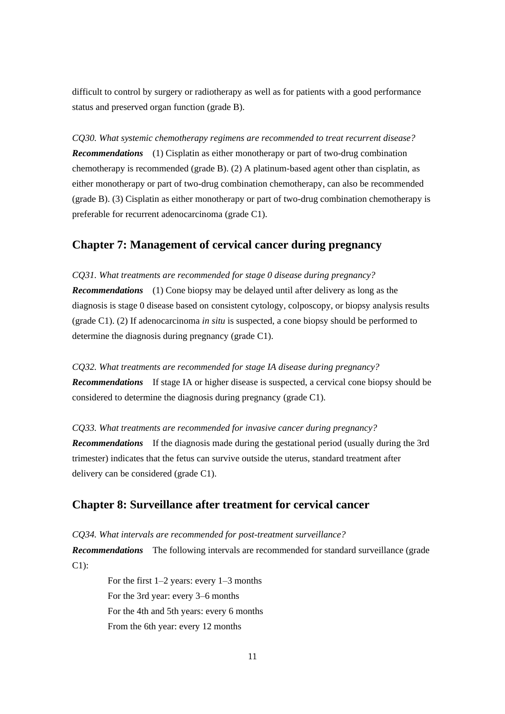difficult to control by surgery or radiotherapy as well as for patients with a good performance status and preserved organ function (grade B).

*CQ30. What systemic chemotherapy regimens are recommended to treat recurrent disease? Recommendations* (1) Cisplatin as either monotherapy or part of two-drug combination chemotherapy is recommended (grade B). (2) A platinum-based agent other than cisplatin, as either monotherapy or part of two-drug combination chemotherapy, can also be recommended (grade B). (3) Cisplatin as either monotherapy or part of two-drug combination chemotherapy is preferable for recurrent adenocarcinoma (grade C1).

### **Chapter 7: Management of cervical cancer during pregnancy**

*CQ31. What treatments are recommended for stage 0 disease during pregnancy?*

*Recommendations* (1) Cone biopsy may be delayed until after delivery as long as the diagnosis is stage 0 disease based on consistent cytology, colposcopy, or biopsy analysis results (grade C1). (2) If adenocarcinoma *in situ* is suspected, a cone biopsy should be performed to determine the diagnosis during pregnancy (grade C1).

*CQ32. What treatments are recommended for stage IA disease during pregnancy? Recommendations* If stage IA or higher disease is suspected, a cervical cone biopsy should be considered to determine the diagnosis during pregnancy (grade C1).

*CQ33. What treatments are recommended for invasive cancer during pregnancy? Recommendations* If the diagnosis made during the gestational period (usually during the 3rd trimester) indicates that the fetus can survive outside the uterus, standard treatment after delivery can be considered (grade C1).

## **Chapter 8: Surveillance after treatment for cervical cancer**

*CQ34. What intervals are recommended for post-treatment surveillance? Recommendations* The following intervals are recommended for standard surveillance (grade C1):

> For the first 1–2 years: every 1–3 months For the 3rd year: every 3–6 months For the 4th and 5th years: every 6 months From the 6th year: every 12 months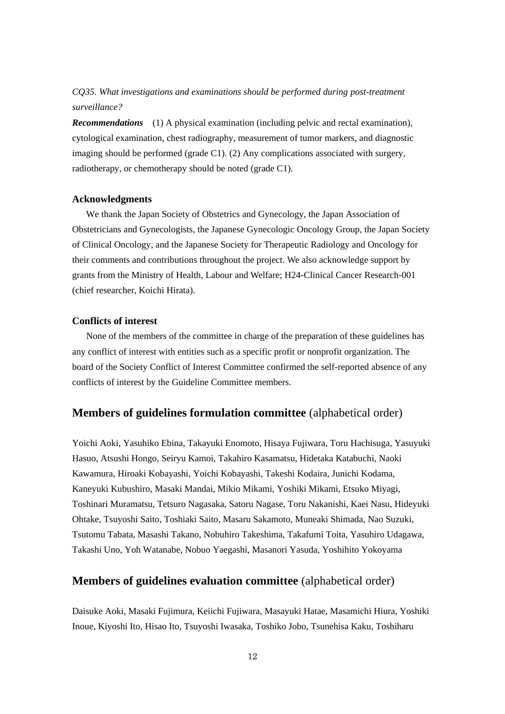# *CQ35. What investigations and examinations should be performed during post-treatment surveillance?*

*Recommendations* (1) A physical examination (including pelvic and rectal examination), cytological examination, chest radiography, measurement of tumor markers, and diagnostic imaging should be performed (grade C1). (2) Any complications associated with surgery, radiotherapy, or chemotherapy should be noted (grade C1).

### **Acknowledgments**

We thank the Japan Society of Obstetrics and Gynecology, the Japan Association of Obstetricians and Gynecologists, the Japanese Gynecologic Oncology Group, the Japan Society of Clinical Oncology, and the Japanese Society for Therapeutic Radiology and Oncology for their comments and contributions throughout the project. We also acknowledge support by grants from the Ministry of Health, Labour and Welfare; H24-Clinical Cancer Research-001 (chief researcher, Koichi Hirata).

### **Conflicts of interest**

None of the members of the committee in charge of the preparation of these guidelines has any conflict of interest with entities such as a specific profit or nonprofit organization. The board of the Society Conflict of Interest Committee confirmed the self-reported absence of any conflicts of interest by the Guideline Committee members.

## **Members of guidelines formulation committee** (alphabetical order)

Yoichi Aoki, Yasuhiko Ebina, Takayuki Enomoto, Hisaya Fujiwara, Toru Hachisuga, Yasuyuki Hasuo, Atsushi Hongo, Seiryu Kamoi, Takahiro Kasamatsu, Hidetaka Katabuchi, Naoki Kawamura, Hiroaki Kobayashi, Yoichi Kobayashi, Takeshi Kodaira, Junichi Kodama, Kaneyuki Kubushiro, Masaki Mandai, Mikio Mikami, Yoshiki Mikami, Etsuko Miyagi, Toshinari Muramatsu, Tetsuro Nagasaka, Satoru Nagase, Toru Nakanishi, Kaei Nasu, Hideyuki Ohtake, Tsuyoshi Saito, Toshiaki Saito, Masaru Sakamoto, Muneaki Shimada, Nao Suzuki, Tsutomu Tabata, Masashi Takano, Nobuhiro Takeshima, Takafumi Toita, Yasuhiro Udagawa, Takashi Uno, Yoh Watanabe, Nobuo Yaegashi, Masanori Yasuda, Yoshihito Yokoyama

### **Members of guidelines evaluation committee** (alphabetical order)

Daisuke Aoki, Masaki Fujimura, Keiichi Fujiwara, Masayuki Hatae, Masamichi Hiura, Yoshiki Inoue, Kiyoshi Ito, Hisao Ito, Tsuyoshi Iwasaka, Toshiko Jobo, Tsunehisa Kaku, Toshiharu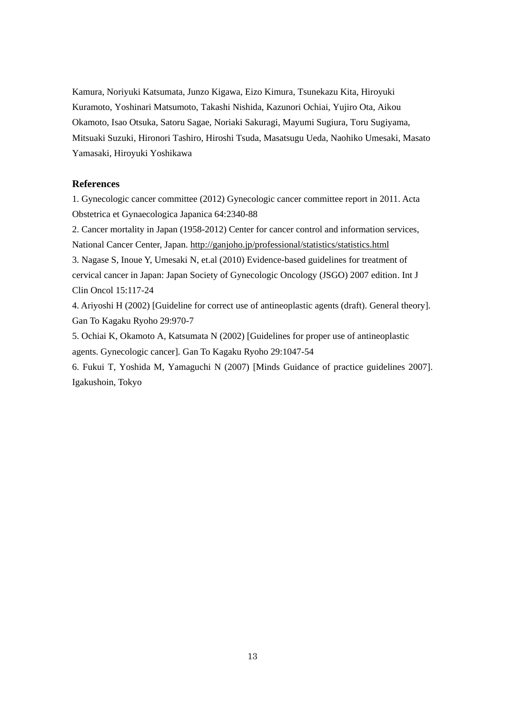Kamura, Noriyuki Katsumata, Junzo Kigawa, Eizo Kimura, Tsunekazu Kita, Hiroyuki Kuramoto, Yoshinari Matsumoto, Takashi Nishida, Kazunori Ochiai, Yujiro Ota, Aikou Okamoto, Isao Otsuka, Satoru Sagae, Noriaki Sakuragi, Mayumi Sugiura, Toru Sugiyama, Mitsuaki Suzuki, Hironori Tashiro, Hiroshi Tsuda, Masatsugu Ueda, Naohiko Umesaki, Masato Yamasaki, Hiroyuki Yoshikawa

### **References**

1. Gynecologic cancer committee (2012) Gynecologic cancer committee report in 2011. Acta Obstetrica et Gynaecologica Japanica 64:2340-88

2. Cancer mortality in Japan (1958-2012) Center for cancer control and information services, National Cancer Center, Japan.<http://ganjoho.jp/professional/statistics/statistics.html>

3. Nagase S, Inoue Y, Umesaki N, et.al (2010) Evidence-based guidelines for treatment of cervical cancer in Japan: Japan Society of Gynecologic Oncology (JSGO) 2007 edition. Int J Clin Oncol 15:117-24

4. Ariyoshi H (2002) [Guideline for correct use of antineoplastic agents (draft). General theory]. Gan To Kagaku Ryoho 29:970-7

5. Ochiai K, Okamoto A, Katsumata N (2002) [Guidelines for proper use of antineoplastic agents. Gynecologic cancer]. Gan To Kagaku Ryoho 29:1047-54

6. Fukui T, Yoshida M, Yamaguchi N (2007) [Minds Guidance of practice guidelines 2007]. Igakushoin, Tokyo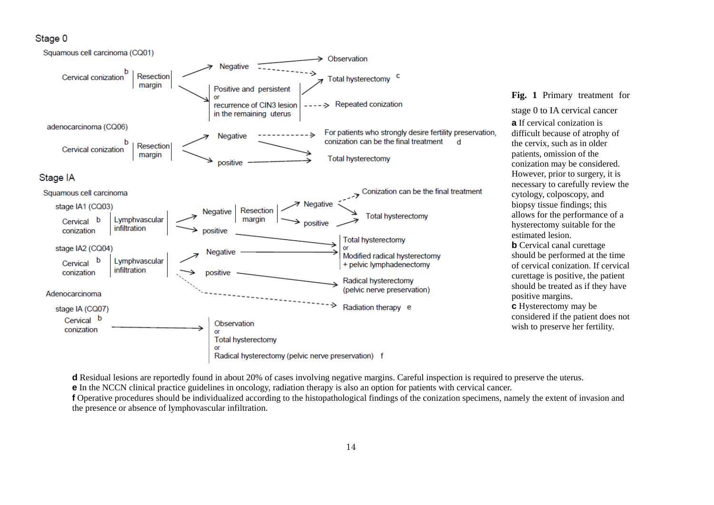### Stage 0



**Fig. 1** Primary treatment for

stage 0 to IA cervical cancer **a** If cervical conization is difficult because of atrophy of the cervix, such as in older patients, omission of the conization may be considered. However, prior to surgery, it is necessary to carefully review the cytology, colposcopy, and biopsy tissue findings; this allows for the performance of a hysterectomy suitable for the estimated lesion. **b** Cervical canal curettage should be performed at the time of cervical conization. If cervical curettage is positive, the patient should be treated as if they have positive margins. **c** Hysterectomy may be considered if the patient does not wish to preserve her fertility.

**d** Residual lesions are reportedly found in about 20% of cases involving negative margins. Careful inspection is required to preserve the uterus.

**e** In the NCCN clinical practice guidelines in oncology, radiation therapy is also an option for patients with cervical cancer.

**f** Operative procedures should be individualized according to the histopathological findings of the conization specimens, namely the extent of invasion and the presence or absence of lymphovascular infiltration.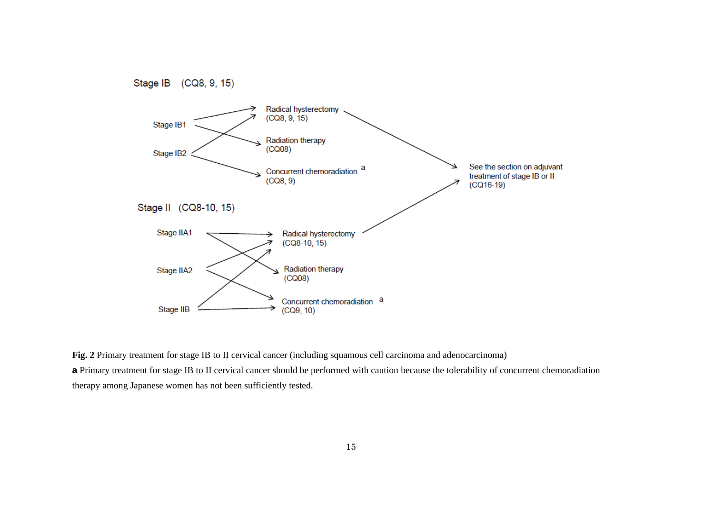

**Fig. 2** Primary treatment for stage IB to II cervical cancer (including squamous cell carcinoma and adenocarcinoma) **a** Primary treatment for stage IB to II cervical cancer should be performed with caution because the tolerability of concurrent chemoradiation therapy among Japanese women has not been sufficiently tested.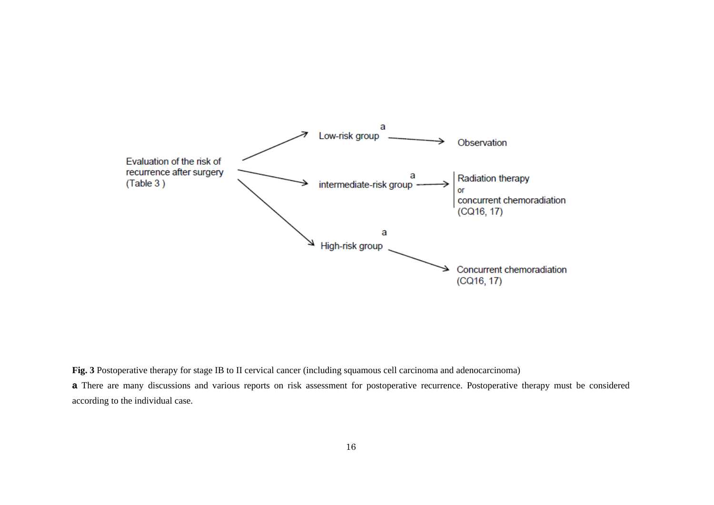

**Fig. 3** Postoperative therapy for stage IB to II cervical cancer (including squamous cell carcinoma and adenocarcinoma)

**a** There are many discussions and various reports on risk assessment for postoperative recurrence. Postoperative therapy must be considered according to the individual case.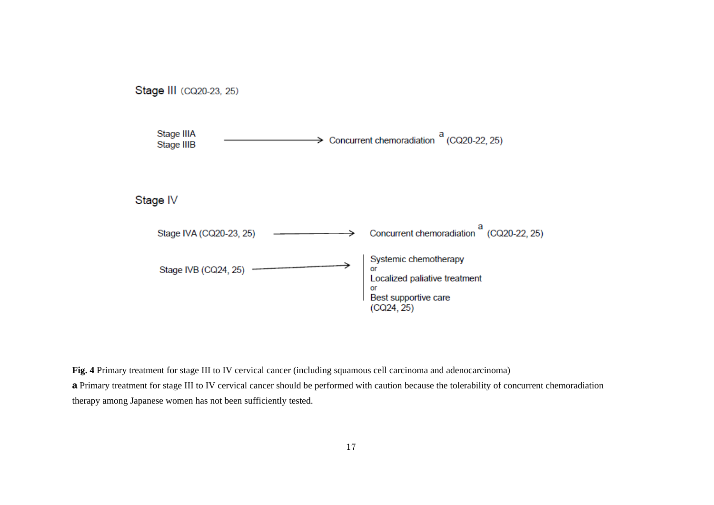

**Fig. 4** Primary treatment for stage III to IV cervical cancer (including squamous cell carcinoma and adenocarcinoma) **a** Primary treatment for stage III to IV cervical cancer should be performed with caution because the tolerability of concurrent chemoradiation therapy among Japanese women has not been sufficiently tested.